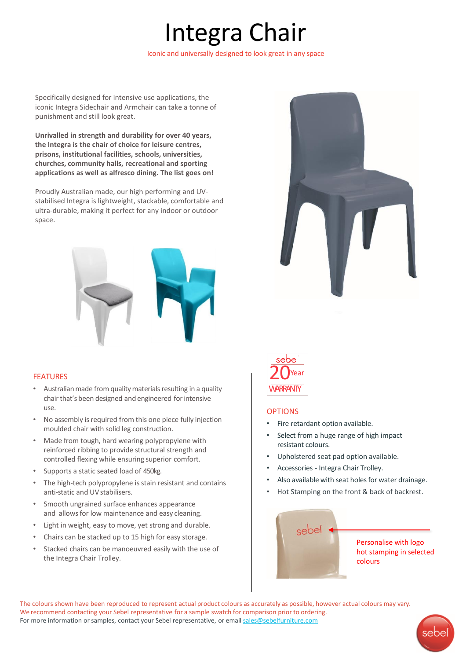# Integra Chair

Iconic and universally designed to look great in any space

Specifically designed for intensive use applications, the iconic Integra Sidechair and Armchair can take a tonne of punishment and still look great.

**Unrivalled in strength and durability for over 40 years, the Integra is the chair of choice for leisure centres, prisons, institutional facilities, schools, universities, churches, community halls, recreational and sporting applications as well as alfresco dining. The list goes on!**

Proudly Australian made, our high performing and UVstabilised Integra is lightweight, stackable, comfortable and ultra-durable, making it perfect for any indoor or outdoor space.



### FEATURES

- Australian made from quality materials resulting in a quality chair that's been designed and engineered for intensive use.
- No assembly is required from this one piece fully injection moulded chair with solid leg construction.
- Made from tough, hard wearing polypropylene with reinforced ribbing to provide structural strength and controlled flexing while ensuring superior comfort.
- Supports a static seated load of 450kg.
- The high-tech polypropylene is stain resistant and contains anti-static and UV stabilisers.
- Smooth ungrained surface enhances appearance and allows for low maintenance and easy cleaning.
- Light in weight, easy to move, yet strong and durable.
- Chairs can be stacked up to 15 high for easy storage.
- Stacked chairs can be manoeuvred easily with the use of the Integra Chair Trolley.





### **OPTIONS**

- Fire retardant option available.
- Select from a huge range of high impact resistant colours.
- Upholstered seat pad option available.
- Accessories Integra Chair Trolley.
- Also available with seat holes for water drainage.
- Hot Stamping on the front & back of backrest.



The colours shown have been reproduced to represent actual product colours as accurately as possible, however actual colours may vary. We recommend contacting your Sebel representative for a sample swatch for comparison prior to ordering. For more information or samples, contact your Sebel representative, or email [sales@sebelfurniture.com](mailto:sales@sebelfurniture.com)